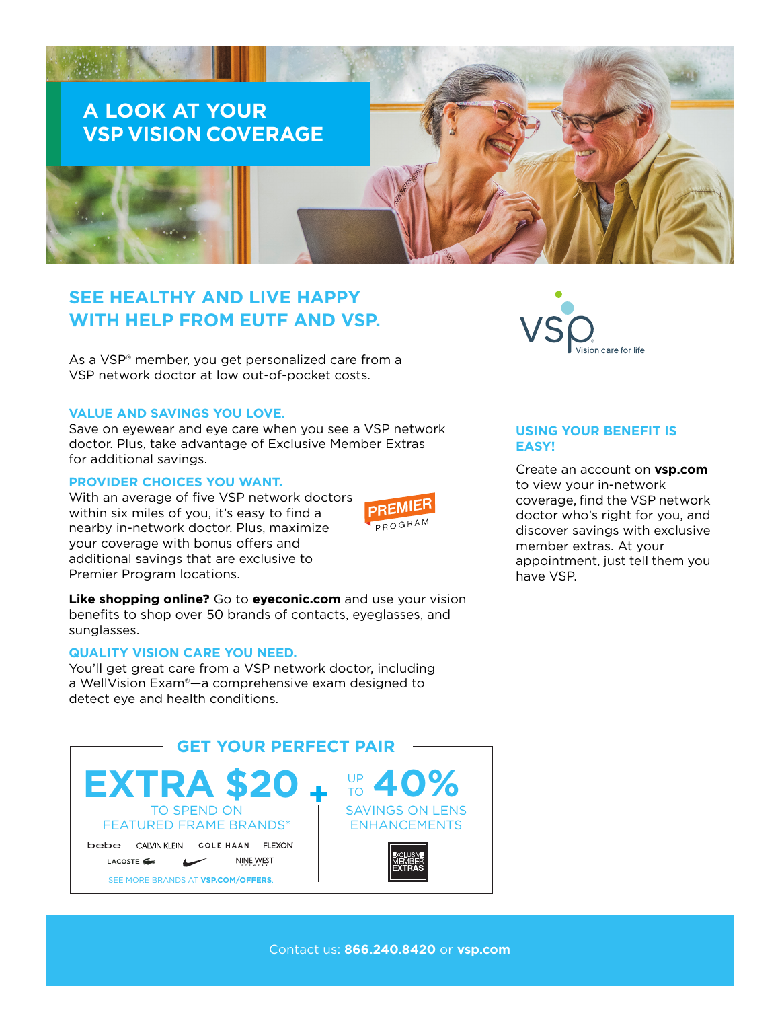

# **SEE HEALTHY AND LIVE HAPPY WITH HELP FROM EUTF AND VSP.**

As a VSP® member, you get personalized care from a VSP network doctor at low out-of-pocket costs.

#### **VALUE AND SAVINGS YOU LOVE.**

Save on eyewear and eye care when you see a VSP network doctor. Plus, take advantage of Exclusive Member Extras for additional savings.

#### **PROVIDER CHOICES YOU WANT.**

With an average of five VSP network doctors within six miles of you, it's easy to find a nearby in-network doctor. Plus, maximize your coverage with bonus offers and additional savings that are exclusive to Premier Program locations.



**Like shopping online?** Go to **[eyeconic.com](https://www.eyeconic.com)** and use your vision benefits to shop over 50 brands of contacts, eyeglasses, and sunglasses.

## **QUALITY VISION CARE YOU NEED.**

You'll get great care from a VSP network doctor, including a WellVision Exam®—a comprehensive exam designed to detect eye and health conditions.





### **USING YOUR BENEFIT IS EASY!**

Create an account on **[vsp.com](http://www.vsp.com)** to view your in-network coverage, find the VSP network doctor who's right for you, and discover savings with exclusive member extras. At your appointment, just tell them you have VSP.